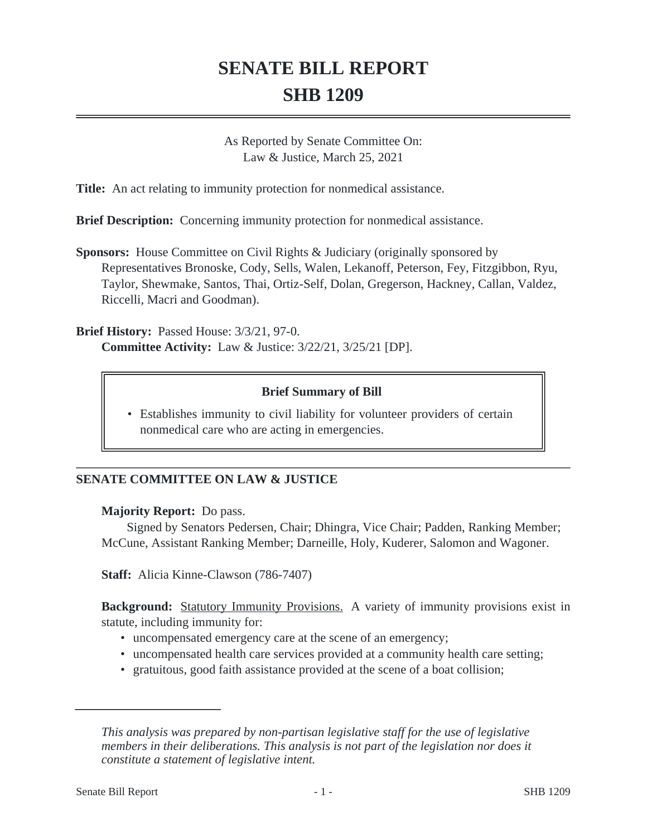# **SENATE BILL REPORT SHB 1209**

As Reported by Senate Committee On: Law & Justice, March 25, 2021

**Title:** An act relating to immunity protection for nonmedical assistance.

**Brief Description:** Concerning immunity protection for nonmedical assistance.

**Sponsors:** House Committee on Civil Rights & Judiciary (originally sponsored by Representatives Bronoske, Cody, Sells, Walen, Lekanoff, Peterson, Fey, Fitzgibbon, Ryu, Taylor, Shewmake, Santos, Thai, Ortiz-Self, Dolan, Gregerson, Hackney, Callan, Valdez, Riccelli, Macri and Goodman).

**Brief History:** Passed House: 3/3/21, 97-0. **Committee Activity:** Law & Justice: 3/22/21, 3/25/21 [DP].

## **Brief Summary of Bill**

• Establishes immunity to civil liability for volunteer providers of certain nonmedical care who are acting in emergencies.

## **SENATE COMMITTEE ON LAW & JUSTICE**

#### **Majority Report:** Do pass.

Signed by Senators Pedersen, Chair; Dhingra, Vice Chair; Padden, Ranking Member; McCune, Assistant Ranking Member; Darneille, Holy, Kuderer, Salomon and Wagoner.

**Staff:** Alicia Kinne-Clawson (786-7407)

**Background:** Statutory Immunity Provisions. A variety of immunity provisions exist in statute, including immunity for:

- uncompensated emergency care at the scene of an emergency;
- uncompensated health care services provided at a community health care setting;
- gratuitous, good faith assistance provided at the scene of a boat collision;

*This analysis was prepared by non-partisan legislative staff for the use of legislative members in their deliberations. This analysis is not part of the legislation nor does it constitute a statement of legislative intent.*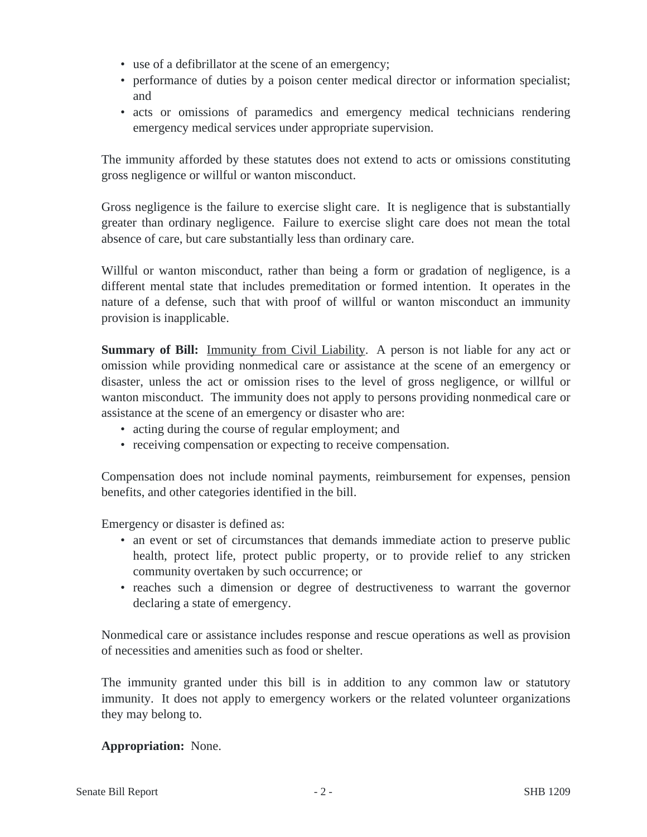- use of a defibrillator at the scene of an emergency;
- performance of duties by a poison center medical director or information specialist; and
- acts or omissions of paramedics and emergency medical technicians rendering emergency medical services under appropriate supervision.

The immunity afforded by these statutes does not extend to acts or omissions constituting gross negligence or willful or wanton misconduct.

Gross negligence is the failure to exercise slight care. It is negligence that is substantially greater than ordinary negligence. Failure to exercise slight care does not mean the total absence of care, but care substantially less than ordinary care.

Willful or wanton misconduct, rather than being a form or gradation of negligence, is a different mental state that includes premeditation or formed intention. It operates in the nature of a defense, such that with proof of willful or wanton misconduct an immunity provision is inapplicable.

**Summary of Bill:** Immunity from Civil Liability. A person is not liable for any act or omission while providing nonmedical care or assistance at the scene of an emergency or disaster, unless the act or omission rises to the level of gross negligence, or willful or wanton misconduct. The immunity does not apply to persons providing nonmedical care or assistance at the scene of an emergency or disaster who are:

- acting during the course of regular employment; and
- receiving compensation or expecting to receive compensation.

Compensation does not include nominal payments, reimbursement for expenses, pension benefits, and other categories identified in the bill.

Emergency or disaster is defined as:

- an event or set of circumstances that demands immediate action to preserve public health, protect life, protect public property, or to provide relief to any stricken community overtaken by such occurrence; or
- reaches such a dimension or degree of destructiveness to warrant the governor declaring a state of emergency.

Nonmedical care or assistance includes response and rescue operations as well as provision of necessities and amenities such as food or shelter.

The immunity granted under this bill is in addition to any common law or statutory immunity. It does not apply to emergency workers or the related volunteer organizations they may belong to.

## **Appropriation:** None.